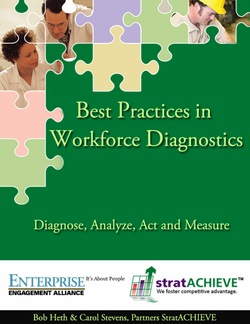# **Best Practices in** Workforce Diagnostics

Diagnose, Analyze, Act and Measure





## Bob Heth & Carol Stevens, Partners StratACHIEVE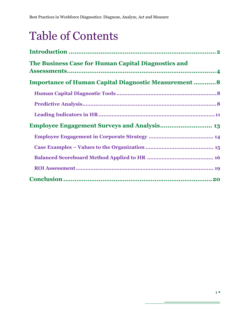# Table of Contents

| The Business Case for Human Capital Diagnostics and          |
|--------------------------------------------------------------|
| <b>Importance of Human Capital Diagnostic Measurement  8</b> |
|                                                              |
|                                                              |
|                                                              |
|                                                              |
|                                                              |
|                                                              |
|                                                              |
|                                                              |
|                                                              |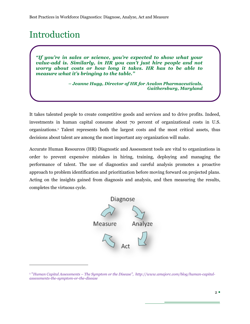# <span id="page-2-0"></span>Introduction

 $\overline{a}$ 

*"If you're in sales or science, you're expected to show what your value-add is. Similarly, in HR you can't just hire people and not worry about costs or how long it takes. HR has to be able to measure what it's bringing to the table."*

> *– Jeanne Hugg, Director of HR for Avalon Pharmaceuticals, Gaithersburg, Maryland*

It takes talented people to create competitive goods and services and to drive profits. Indeed, investments in human capital consume about 70 percent of organizational costs in U.S. organizations.<sup>1</sup> Talent represents both the largest costs and the most critical assets, thus decisions about talent are among the most important any organization will make.

Accurate Human Resources (HR) Diagnostic and Assessment tools are vital to organizations in order to prevent expensive mistakes in hiring, training, deploying and managing the performance of talent. The use of diagnostics and careful analysis promotes a proactive approach to problem identification and prioritization before moving forward on projected plans. Acting on the insights gained from diagnosis and analysis, and then measuring the results, completes the virtuous cycle.



<sup>&</sup>lt;sup>1</sup> "Human Capital Assessments – The Symptom or the Disease", http://www.amajorc.com/blog/human-capital*assessments-the-symptom-or-the-disease*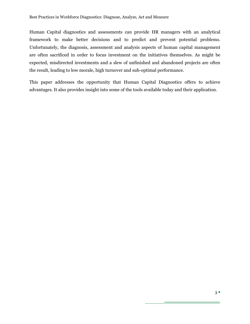Human Capital diagnostics and assessments can provide HR managers with an analytical framework to make better decisions and to predict and prevent potential problems. Unfortunately, the diagnosis, assessment and analysis aspects of human capital management are often sacrificed in order to focus investment on the initiatives themselves. As might be expected, misdirected investments and a slew of unfinished and abandoned projects are often the result, leading to low morale, high turnover and sub-optimal performance.

This paper addresses the opportunity that Human Capital Diagnostics offers to achieve advantages. It also provides insight into some of the tools available today and their application.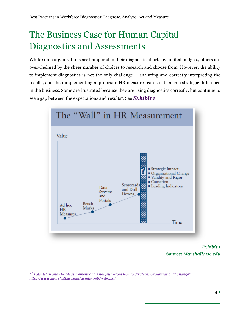# <span id="page-4-0"></span>The Business Case for Human Capital Diagnostics and Assessments

While some organizations are hampered in their diagnostic efforts by limited budgets, others are overwhelmed by the sheer number of choices to research and choose from. However, the ability to implement diagnostics is not the only challenge — analyzing and correctly interpreting the results, and then implementing appropriate HR measures can create a true strategic difference in the business. Some are frustrated because they are using diagnostics correctly, but continue to see a gap between the expectations and results<sup>2</sup>. See *Exhibit 1* 



*Exhibit 1 Source: Marshall.usc.edu*

<sup>&</sup>lt;sup>2</sup> "Talentship and HR Measurement and Analysis: From ROI to Strategic Organizational Change", *http://www.marshall.usc.edu/assets/048/9986.pdf*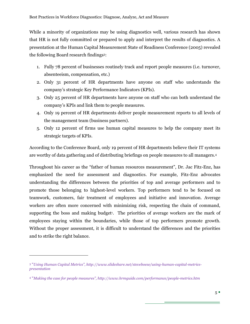While a minority of organizations may be using diagnostics well, various research has shown that HR is not fully committed or prepared to apply and interpret the results of diagnostics. A presentation at the Human Capital Measurement State of Readiness Conference (2005) revealed the following Board research findings<sup>3</sup> :

- 1. Fully 78 percent of businesses routinely track and report people measures (i.e. turnover, absenteeism, compensation, etc.)
- 2. Only 31 percent of HR departments have anyone on staff who understands the company's strategic Key Performance Indicators (KPIs).
- 3. Only 25 percent of HR departments have anyone on staff who can both understand the company's KPIs and link them to people measures.
- 4. Only 19 percent of HR departments deliver people measurement reports to all levels of the management team (business partners).
- 5. Only 12 percent of firms use human capital measures to help the company meet its strategic targets of KPIs.

According to the Conference Board, only 19 percent of HR departments believe their IT systems are worthy of data gathering and of distributing briefings on people measures to all managers.<sup>4</sup>

Throughout his career as the "father of human resources measurement", Dr. Jac Fitz-Enz, has emphasized the need for assessment and diagnostics. For example, Fitz-Enz advocates understanding the differences between the priorities of top and average performers and to promote those belonging to highest-level workers. Top performers tend to be focused on teamwork, customers, fair treatment of employees and initiative and innovation. Average workers are often more concerned with minimizing risk, respecting the chain of command, supporting the boss and making budget<sup>1</sup>. The priorities of average workers are the mark of employees staying within the boundaries, while those of top performers promote growth. Without the proper assessment, it is difficult to understand the differences and the priorities and to strike the right balance.

 $3$  "Using Human Capital Metrics", http://www.slideshare.net/steveboese/using-human-capital-metrics*presentation*

<sup>4</sup> ―*Making the case for people measures‖, http://www.hrmguide.com/performance/people-metrics.htm*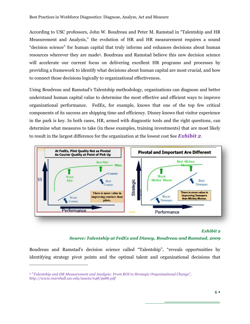According to USC professors, John W. Boudreau and Peter M. Ramstad in "Talentship and HR Measurement and Analysis," the evolution of HR and HR measurement requires a sound ―decision science‖ for human capital that truly informs and enhances decisions about human resources wherever they are made<sup>5</sup> . Boudreau and Ramstad believe this new decision science will accelerate our current focus on delivering excellent HR programs and processes by providing a framework to identify what decisions about human capital are most crucial, and how to connect those decisions logically to organizational effectiveness.

Using Boudreau and Ramstad's Talentship methodology, organizations can diagnose and better understand human capital value to determine the most effective and efficient ways to improve organizational performance. FedEx, for example, knows that one of the top few critical components of its success are shipping time and efficiency. Disney knows that visitor experience in the park is key. In both cases, HR, armed with diagnostic tools and the right questions, can determine what measures to take (in these examples, training investments) that are most likely to result in the largest difference for the organization at the lowest cost See *Exhibit 2*.



#### *Exhibit 2*

#### *Source: Talentship at FedEx and Disney, Boudreau and Ramstad, 2009*

Boudreau and Ramstad's decision science called "Talentship", "reveals opportunities by identifying strategy pivot points and the optimal talent and organizational decisions that

<sup>5</sup> ―*Talentship and HR Measurement and Analysis: From ROI to Strategic Organizational Change‖, http://www.marshall.usc.edu/assets/048/9986.pdf*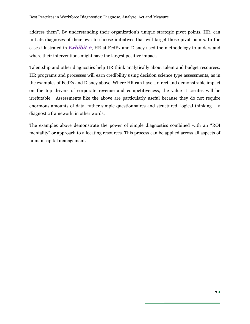address them". By understanding their organization's unique strategic pivot points, HR, can initiate diagnoses of their own to choose initiatives that will target those pivot points. In the cases illustrated in *Exhibit 2*, HR at FedEx and Disney used the methodology to understand where their interventions might have the largest positive impact.

Talentship and other diagnostics help HR think analytically about talent and budget resources. HR programs and processes will earn credibility using decision science type assessments, as in the examples of FedEx and Disney above. Where HR can have a direct and demonstrable impact on the top drivers of corporate revenue and competitiveness, the value it creates will be irrefutable. Assessments like the above are particularly useful because they do not require enormous amounts of data, rather simple questionnaires and structured, logical thinking – a diagnostic framework, in other words.

The examples above demonstrate the power of simple diagnostics combined with an "ROI" mentality" or approach to allocating resources. This process can be applied across all aspects of human capital management.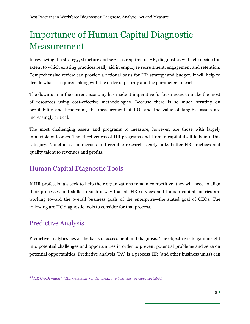# <span id="page-8-0"></span>Importance of Human Capital Diagnostic Measurement

In reviewing the strategy, structure and services required of HR, diagnostics will help decide the extent to which existing practices really aid in employee recruitment, engagement and retention. Comprehensive review can provide a rational basis for HR strategy and budget. It will help to decide what is required, along with the order of priority and the parameters of each<sup>6</sup>.

The downturn in the current economy has made it imperative for businesses to make the most of resources using cost-effective methodologies. Because there is so much scrutiny on profitability and headcount, the measurement of ROI and the value of tangible assets are increasingly critical.

The most challenging assets and programs to measure, however, are those with largely intangible outcomes. The effectiveness of HR programs and Human capital itself falls into this category. Nonetheless, numerous and credible research clearly links better HR practices and quality talent to revenues and profits.

## <span id="page-8-1"></span>Human Capital Diagnostic Tools

If HR professionals seek to help their organizations remain competitive, they will need to align their processes and skills in such a way that all HR services and human capital metrics are working toward the overall business goals of the enterprise—the stated goal of CEOs. The following are HC diagnostic tools to consider for that process.

## <span id="page-8-2"></span>Predictive Analysis

 $\overline{a}$ 

Predictive analytics lies at the basis of assessment and diagnosis. The objective is to gain insight into potential challenges and opportunities in order to prevent potential problems and seize on potential opportunities. Predictive analysis (PA) is a process HR (and other business units) can

<sup>6</sup> ―*HR On-Demand‖, http://www.hr-ondemand.com/business\_perspectivetab#1*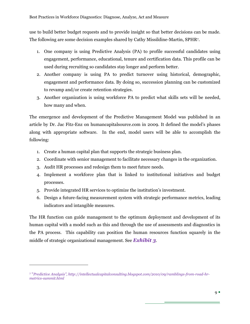use to build better budget requests and to provide insight so that better decisions can be made. The following are some decision examples shared by Cathy Missildine-Martin, SPHR<sup>7</sup> .

- 1. One company is using Predictive Analysis (PA) to profile successful candidates using engagement, performance, educational, tenure and certification data. This profile can be used during recruiting so candidates stay longer and perform better.
- 2. Another company is using PA to predict turnover using historical, demographic, engagement and performance data. By doing so, succession planning can be customized to revamp and/or create retention strategies.
- 3. Another organization is using workforce PA to predict what skills sets will be needed, how many and when.

The emergence and development of the Predictive Management Model was published in an article by Dr. Jac Fitz-Enz on humancapitalsource.com in 2009. It defined the model's phases along with appropriate software. In the end, model users will be able to accomplish the following:

- 1. Create a human capital plan that supports the strategic business plan.
- 2. Coordinate with senior management to facilitate necessary changes in the organization.
- 3. Audit HR processes and redesign them to meet future needs.

 $\overline{a}$ 

- 4. Implement a workforce plan that is linked to institutional initiatives and budget processes.
- 5. Provide integrated HR services to optimize the institution's investment.
- 6. Design a future-facing measurement system with strategic performance metrics, leading indicators and intangible measures.

The HR function can guide management to the optimum deployment and development of its human capital with a model such as this and through the use of assessments and diagnostics in the PA process. This capability can position the human resources function squarely in the middle of strategic organizational management. See *Exhibit 3*.

<sup>7</sup> ―*Predictive Analysis‖, http://intellectualcapitalconsulting.blogspot.com/2010/09/ramblings-from-road-hrmetrics-summit.html*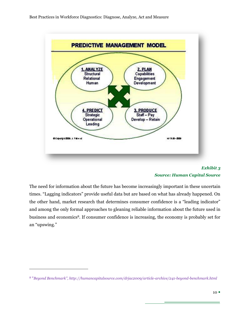

#### *Exhibit 3 Source: Human Capital Source*

<span id="page-10-0"></span>The need for information about the future has become increasingly important in these uncertain times. "Lagging indicators" provide useful data but are based on what has already happened. On the other hand, market research that determines consumer confidence is a "leading indicator" and among the only formal approaches to gleaning reliable information about the future used in business and economics8. If consumer confidence is increasing, the economy is probably set for an "upswing."

<sup>8</sup> ―*Beyond Benchmark‖, http://humancapitalsource.com/drjac2009/article-archive/241-beyond-benchmark.html*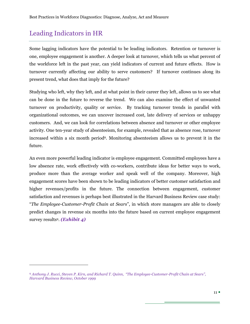## <span id="page-11-0"></span>Leading Indicators in HR

 $\overline{a}$ 

Some lagging indicators have the potential to be leading indicators. Retention or turnover is one, employee engagement is another. A deeper look at turnover, which tells us what percent of the workforce left in the past year, can yield indicators of current and future effects. How is turnover currently affecting our ability to serve customers? If turnover continues along its present trend, what does that imply for the future?

Studying who left, why they left, and at what point in their career they left, allows us to see what can be done in the future to reverse the trend. We can also examine the effect of unwanted turnover on productivity, quality or service. By tracking turnover trends in parallel with organizational outcomes, we can uncover increased cost, late delivery of services or unhappy customers. And, we can look for correlations between absence and turnover or other employee activity. One ten-year study of absenteeism, for example, revealed that as absence rose, turnover increased within a six month period<sup>8</sup>[.](#page-10-0) Monitoring absenteeism allows us to prevent it in the future.

An even more powerful leading indicator is employee engagement. Committed employees have a low absence rate, work effectively with co-workers, contribute ideas for better ways to work, produce more than the average worker and speak well of the company. Moreover, high engagement scores have been shown to be leading indicators of better customer satisfaction and higher revenues/profits in the future. The connection between engagement, customer satisfaction and revenues is perhaps best illustrated in the Harvard Business Review case study: ―*The Employee-Customer-Profit Chain at Sears*‖, in which store managers are able to closely predict changes in revenue six months into the future based on current employee engagement survey results<sup>9</sup> . *(Exhibit 4)*

<sup>9</sup> Anthony J. Rucci, Steven P. Kirn, and Richard T. Quinn, "The Employee-Customer-Profit Chain at Sears", *Harvard Business Review, October 1999*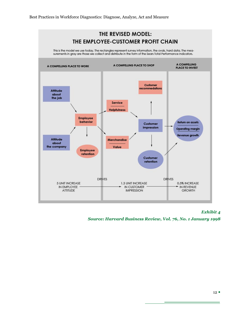

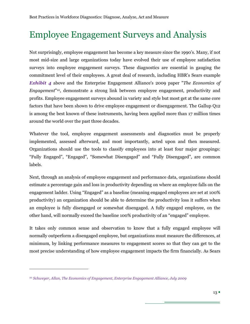# <span id="page-13-0"></span>Employee Engagement Surveys and Analysis

Not surprisingly, employee engagement has become a key measure since the 1990's. Many, if not most mid-size and large organizations today have evolved their use of employee satisfaction surveys into employee engagement surveys. These diagnostics are essential in gauging the commitment level of their employees. A great deal of research, including HBR's Sears example *Exhibit 4* above and the Enterprise Engagement Alliance's 2009 paper "*The Economics of Engagement*" <sup>10</sup>, demonstrate a strong link between employee engagement, productivity and profits. Employee engagement surveys abound in variety and style but most get at the same core factors that have been shown to drive employee engagement or disengagement. The Gallup Q12 is among the best known of these instruments, having been applied more than 17 million times around the world over the past three decades.

Whatever the tool, employee engagement assessments and diagnostics must be properly implemented, assessed afterward, and most importantly, acted upon and then measured. Organizations should use the tools to classify employees into at least four major groupings: "Fully Engaged", "Engaged", "Somewhat Disengaged" and "Fully Disengaged", are common labels.

Next, through an analysis of employee engagement and performance data, organizations should estimate a percentage gain and loss in productivity depending on where an employee falls on the engagement ladder. Using "Engaged" as a baseline (meaning engaged employees are set at 100% productivity) an organization should be able to determine the productivity loss it suffers when an employee is fully disengaged or somewhat disengaged. A fully engaged employee, on the other hand, will normally exceed the baseline 100% productivity of an "engaged" employee.

It takes only common sense and observation to know that a fully engaged employee will normally outperform a disengaged employee, but organizations must measure the differences, at minimum, by linking performance measures to engagement scores so that they can get to the most precise understanding of how employee engagement impacts the firm financially. As Sears

<sup>10</sup> *Schweyer, Allan, The Economics of Engagement, Enterprise Engagement Alliance, July 2009*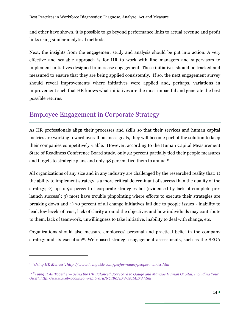and other have shown, it is possible to go beyond performance links to actual revenue and profit links using similar analytical methods.

Next, the insights from the engagement study and analysis should be put into action. A very effective and scalable approach is for HR to work with line managers and supervisors to implement initiatives designed to increase engagement. These initiatives should be tracked and measured to ensure that they are being applied consistently. If so, the next engagement survey should reveal improvements where initiatives were applied and, perhaps, variations in improvement such that HR knows what initiatives are the most impactful and generate the best possible returns.

## <span id="page-14-0"></span>Employee Engagement in Corporate Strategy

As HR professionals align their processes and skills so that their services and human capital metrics are working toward overall business goals, they will become part of the solution to keep their companies competitively viable. However, according to the Human Capital Measurement State of Readiness Conference Board study, only 52 percent partially tied their people measures and targets to strategic plans and only 48 percent tied them to annual<sup>11</sup>.

All organizations of any size and in any industry are challenged by the researched reality that: 1) the ability to implement strategy is a more critical determinant of success than the quality of the strategy; 2) up to 90 percent of corporate strategies fail (evidenced by lack of complete prelaunch success); 3) most have trouble pinpointing where efforts to execute their strategies are breaking down and 4) 70 percent of all change initiatives fail due to people issues - inability to lead, low levels of trust, lack of clarity around the objectives and how individuals may contribute to them, lack of teamwork, unwillingness to take initiative, inability to deal with change, etc.

Organizations should also measure employees' personal and practical belief in the company strategy and its execution<sup>12</sup>. Web-based strategic engagement assessments, such as the SEGA

<sup>&</sup>lt;sup>11</sup> "Using HR Metrics", http://www.hrmguide.com/performance/people-metrics.htm

<sup>&</sup>lt;sup>12</sup> "Tying It All Together—Using the HR Balanced Scorecard to Gauge and Manage Human Capital, Including Your *Own‖, http://www.web-books.com/eLibrary/NC/B0/B58/101MB58.html*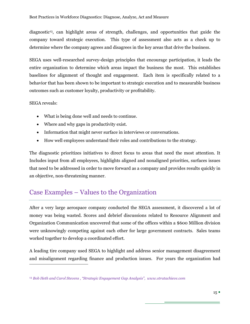diagnostic13, can highlight areas of strength, challenges, and opportunities that guide the company toward strategic execution. This type of assessment also acts as a check up to determine where the company agrees and disagrees in the key areas that drive the business.

SEGA uses well-researched survey-design principles that encourage participation, it leads the entire organization to determine which areas impact the business the most. This establishes baselines for alignment of thought and engagement. Each item is specifically related to a behavior that has been shown to be important to strategic execution and to measurable business outcomes such as customer loyalty, productivity or profitability.

#### SEGA reveals:

 $\overline{a}$ 

- What is being done well and needs to continue.
- Where and why gaps in productivity exist.
- Information that might never surface in interviews or conversations.
- How well employees understand their roles and contributions to the strategy.

The diagnostic prioritizes initiatives to direct focus to areas that need the most attention. It Includes input from all employees, highlights aligned and nonaligned priorities, surfaces issues that need to be addressed in order to move forward as a company and provides results quickly in an objective, non-threatening manner.

## <span id="page-15-0"></span>Case Examples – Values to the Organization

After a very large aerospace company conducted the SEGA assessment, it discovered a lot of money was being wasted. Scores and debrief discussions related to Resource Alignment and Organization Communication uncovered that some of the offices within a \$600 Million division were unknowingly competing against each other for large government contracts. Sales teams worked together to develop a coordinated effort.

A leading tire company used SEGA to highlight and address senior management disagreement and misalignment regarding finance and production issues. For years the organization had

<sup>&</sup>lt;sup>13</sup> Bob Heth and Carol Stevens, "Strategic Engagement Gap Analysis", www.stratachieve.com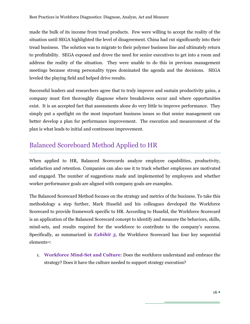made the bulk of its income from tread products. Few were willing to accept the reality of the situation until SEGA highlighted the level of disagreement. China had cut significantly into their tread business. The solution was to migrate to their polymer business line and ultimately return to profitability. SEGA exposed and drove the need for senior executives to get into a room and address the reality of the situation. They were unable to do this in previous management meetings because strong personality types dominated the agenda and the decisions. SEGA leveled the playing field and helped drive results.

Successful leaders and researchers agree that to truly improve and sustain productivity gains, a company must first thoroughly diagnose where breakdowns occur and where opportunities exist. It is an accepted fact that assessments alone do very little to improve performance. They simply put a spotlight on the most important business issues so that senior management can better develop a plan for performance improvement. The execution and measurement of the plan is what leads to initial and continuous improvement.

## <span id="page-16-0"></span>Balanced Scoreboard Method Applied to HR

When applied to HR, Balanced Scorecards analyze employee capabilities, productivity, satisfaction and retention. Companies can also use it to track whether employees are motivated and engaged. The number of suggestions made and implemented by employees and whether worker performance goals are aligned with company goals are examples.

The Balanced Scorecard Method focuses on the strategy and metrics of the business. To take this methodology a step further, Mark Huselid and his colleagues developed the Workforce Scorecard to provide framework specific to HR. According to Huselid, the Workforce Scorecard is an application of the Balanced Scorecard concept to identify and measure the behaviors, skills, mind-sets, and results required for the workforce to contribute to the company's success. Specifically, as summarized in *Exhibit 5*, the Workforce Scorecard has four key sequential elements12:

1. **Workforce Mind-Set and Culture**: Does the workforce understand and embrace the strategy? Does it have the culture needed to support strategy execution?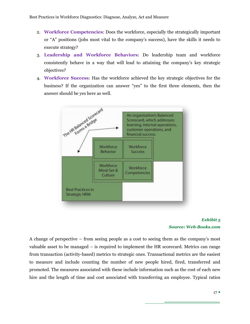- 2. **Workforce Competencies**: Does the workforce, especially the strategically important or "A" positions (jobs most vital to the company's success), have the skills it needs to execute strategy?
- 3. **Leadership and Workforce Behaviors**: Do leadership team and workforce consistently behave in a way that will lead to attaining the company's key strategic objectives?
- 4. **Workforce Success**: Has the workforce achieved the key strategic objectives for the business? If the organization can answer "yes" to the first three elements, then the answer should be yes here as well.





A change of perspective – from seeing people as a cost to seeing them as the company's most valuable asset to be managed – is required to implement the HR scorecard. Metrics can range from transaction (activity-based) metrics to strategic ones. Transactional metrics are the easiest to measure and include counting the number of new people hired, fired, transferred and promoted. The measures associated with these include information such as the cost of each new hire and the length of time and cost associated with transferring an employee. Typical ratios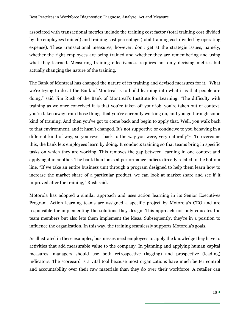associated with transactional metrics include the training cost factor (total training cost divided by the employees trained) and training cost percentage (total training cost divided by operating expense). These transactional measures, however, don't get at the strategic issues, namely, whether the right employees are being trained and whether they are remembering and using what they learned. Measuring training effectiveness requires not only devising metrics but actually changing the nature of the training.

The Bank of Montreal has changed the nature of its training and devised measures for it. "What we're trying to do at the Bank of Montreal is to build learning into what it is that people are doing," said Jim Rush of the Bank of Montreal's Institute for Learning. "The difficulty with training as we once conceived it is that you're taken off your job, you're taken out of context, you're taken away from those things that you're currently working on, and you go through some kind of training. And then you've got to come back and begin to apply that. Well, you walk back to that environment, and it hasn't changed. It's not supportive or conducive to you behaving in a different kind of way, so you revert back to the way you were, very naturally"<sup>12</sup>. To overcome this, the bank lets employees learn by doing. It conducts training so that teams bring in specific tasks on which they are working. This removes the gap between learning in one context and applying it in another. The bank then looks at performance indices directly related to the bottom line. "If we take an entire business unit through a program designed to help them learn how to increase the market share of a particular product, we can look at market share and see if it improved after the training," Rush said.

Motorola has adopted a similar approach and uses action learning in its Senior Executives Program. Action learning teams are assigned a specific project by Motorola's CEO and are responsible for implementing the solutions they design. This approach not only educates the team members but also lets them implement the ideas. Subsequently, they're in a position to influence the organization. In this way, the training seamlessly supports Motorola's goals.

As illustrated in these examples, businesses need employees to apply the knowledge they have to activities that add measurable value to the company. In planning and applying human capital measures, managers should use both retrospective (lagging) and prospective (leading) indicators. The scorecard is a vital tool because most organizations have much better control and accountability over their raw materials than they do over their workforce. A retailer can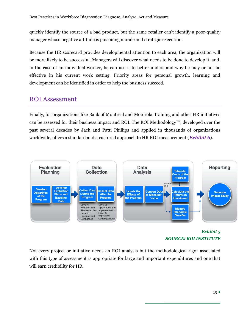quickly identify the source of a bad product, but the same retailer can't identify a poor-quality manager whose negative attitude is poisoning morale and strategic execution.

Because the HR scorecard provides developmental attention to each area, the organization will be more likely to be successful. Managers will discover what needs to be done to develop it, and, in the case of an individual worker, he can use it to better understand why he may or not be effective in his current work setting. Priority areas for personal growth, learning and development can be identified in order to help the business succeed.

### <span id="page-19-0"></span>ROI Assessment

Finally, for organizations like Bank of Montreal and Motorola, training and other HR initiatives can be assessed for their business impact and ROI. The ROI Methodology<sup>™</sup>, developed over the past several decades by Jack and Patti Phillips and applied in thousands of organizations worldwide, offers a standard and structured approach to HR ROI measurement (*Exhibit 6*).



#### *Exhibit 5 SOURCE: ROI INSTITUTE*

Not every project or initiative needs an ROI analysis but the methodological rigor associated with this type of assessment is appropriate for large and important expenditures and one that will earn credibility for HR.